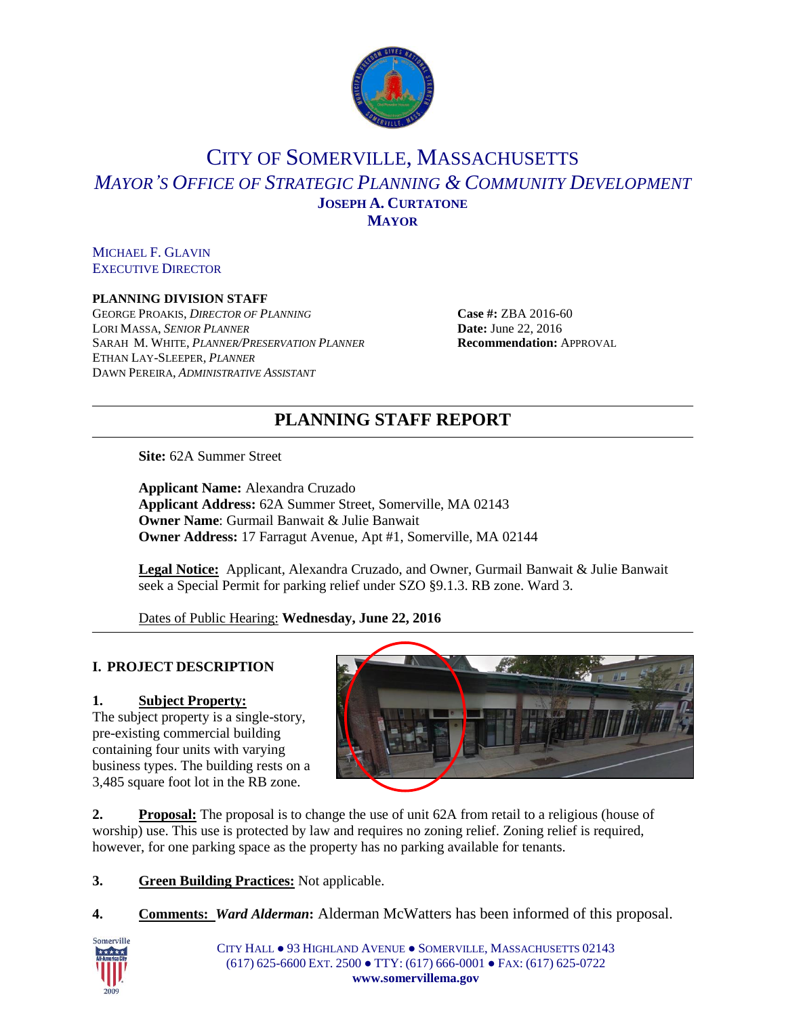

## CITY OF SOMERVILLE, MASSACHUSETTS *MAYOR'S OFFICE OF STRATEGIC PLANNING & COMMUNITY DEVELOPMENT* **JOSEPH A. CURTATONE MAYOR**

MICHAEL F. GLAVIN EXECUTIVE DIRECTOR

#### **PLANNING DIVISION STAFF**

GEORGE PROAKIS, *DIRECTOR OF PLANNING* **Case #:** ZBA 2016-60 LORI MASSA, *SENIOR PLANNER* **Date:** June 22, 2016 SARAH M. WHITE, *PLANNER/PRESERVATION PLANNER* **Recommendation:** APPROVAL ETHAN LAY-SLEEPER*, PLANNER* DAWN PEREIRA, *ADMINISTRATIVE ASSISTANT*

# **PLANNING STAFF REPORT**

**Site:** 62A Summer Street

**Applicant Name:** Alexandra Cruzado **Applicant Address:** 62A Summer Street, Somerville, MA 02143 **Owner Name**: Gurmail Banwait & Julie Banwait **Owner Address:** 17 Farragut Avenue, Apt #1, Somerville, MA 02144

**Legal Notice:** Applicant, Alexandra Cruzado, and Owner, Gurmail Banwait & Julie Banwait seek a Special Permit for parking relief under SZO §9.1.3. RB zone. Ward 3.

Dates of Public Hearing: **Wednesday, June 22, 2016**

## **I. PROJECT DESCRIPTION**

## **1. Subject Property:**

The subject property is a single-story, pre-existing commercial building containing four units with varying business types. The building rests on a 3,485 square foot lot in the RB zone.



**2. Proposal:** The proposal is to change the use of unit 62A from retail to a religious (house of worship) use. This use is protected by law and requires no zoning relief. Zoning relief is required, however, for one parking space as the property has no parking available for tenants.

**3. Green Building Practices:** Not applicable.

**4. Comments:** *Ward Alderman***:** Alderman McWatters has been informed of this proposal.



CITY HALL ● 93 HIGHLAND AVENUE ● SOMERVILLE, MASSACHUSETTS 02143 (617) 625-6600 EXT. 2500 ● TTY: (617) 666-0001 ● FAX: (617) 625-0722 **www.somervillema.gov**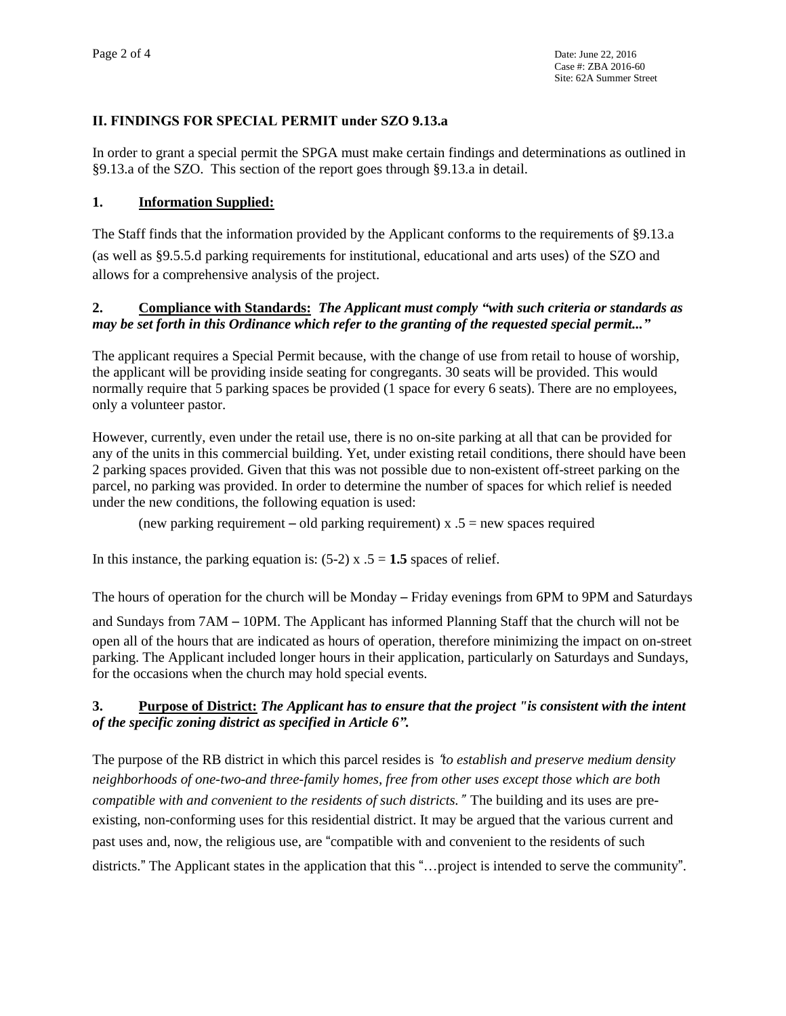## **II. FINDINGS FOR SPECIAL PERMIT under SZO 9.13.a**

In order to grant a special permit the SPGA must make certain findings and determinations as outlined in §9.13.a of the SZO. This section of the report goes through §9.13.a in detail.

#### **1. Information Supplied:**

The Staff finds that the information provided by the Applicant conforms to the requirements of §9.13.a (as well as §9.5.5.d parking requirements for institutional, educational and arts uses) of the SZO and allows for a comprehensive analysis of the project.

## **2. Compliance with Standards:** *The Applicant must comply "with such criteria or standards as* may be set forth in this Ordinance which refer to the granting of the requested special permit..."

The applicant requires a Special Permit because, with the change of use from retail to house of worship, the applicant will be providing inside seating for congregants. 30 seats will be provided. This would normally require that 5 parking spaces be provided (1 space for every 6 seats). There are no employees, only a volunteer pastor.

However, currently, even under the retail use, there is no on-site parking at all that can be provided for any of the units in this commercial building. Yet, under existing retail conditions, there should have been 2 parking spaces provided. Given that this was not possible due to non-existent off-street parking on the parcel, no parking was provided. In order to determine the number of spaces for which relief is needed under the new conditions, the following equation is used:

(new parking requirement – old parking requirement)  $x \cdot 5$  = new spaces required

In this instance, the parking equation is:  $(5-2)$  x  $.5 = 1.5$  spaces of relief.

The hours of operation for the church will be Monday – Friday evenings from 6PM to 9PM and Saturdays

and Sundays from 7AM – 10PM. The Applicant has informed Planning Staff that the church will not be open all of the hours that are indicated as hours of operation, therefore minimizing the impact on on-street parking. The Applicant included longer hours in their application, particularly on Saturdays and Sundays, for the occasions when the church may hold special events.

## **3. Purpose of District:** *The Applicant has to ensure that the project "is consistent with the intent of the specific zoning district as specified in Article 6".*

The purpose of the RB district in which this parcel resides is "*to establish and preserve medium density neighborhoods of one-two-and three-family homes, free from other uses except those which are both compatible with and convenient to the residents of such districts.*" The building and its uses are preexisting, non-conforming uses for this residential district. It may be argued that the various current and past uses and, now, the religious use, are "compatible with and convenient to the residents of such districts." The Applicant states in the application that this "…project is intended to serve the community".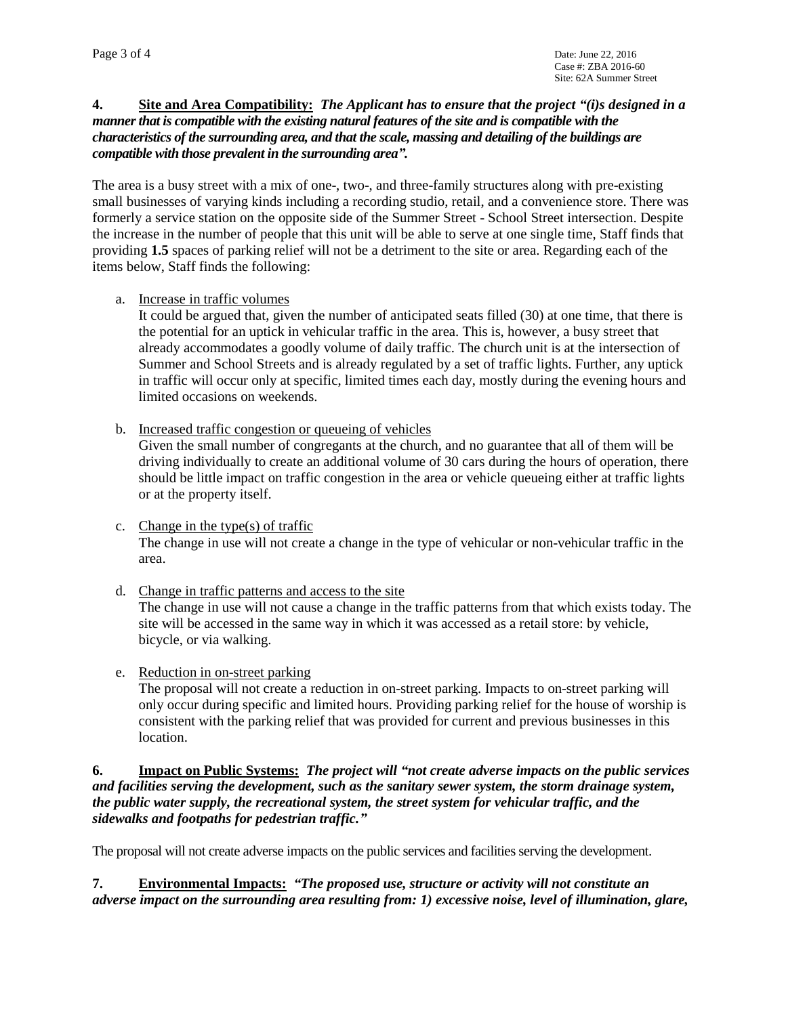#### **4. Site and Area Compatibility:** *The Applicant has to ensure that the project "(i)s designed in a mannerthat is compatible with the existing natural features of the site and is compatible with the characteristics of the surrounding area, and that the scale, massing and detailing of the buildings are compatible with those prevalent in the surrounding area".*

The area is a busy street with a mix of one-, two-, and three-family structures along with pre-existing small businesses of varying kinds including a recording studio, retail, and a convenience store. There was formerly a service station on the opposite side of the Summer Street - School Street intersection. Despite the increase in the number of people that this unit will be able to serve at one single time, Staff finds that providing **1.5** spaces of parking relief will not be a detriment to the site or area. Regarding each of the items below, Staff finds the following:

a. Increase in traffic volumes

It could be argued that, given the number of anticipated seats filled (30) at one time, that there is the potential for an uptick in vehicular traffic in the area. This is, however, a busy street that already accommodates a goodly volume of daily traffic. The church unit is at the intersection of Summer and School Streets and is already regulated by a set of traffic lights. Further, any uptick in traffic will occur only at specific, limited times each day, mostly during the evening hours and limited occasions on weekends.

b. Increased traffic congestion or queueing of vehicles

Given the small number of congregants at the church, and no guarantee that all of them will be driving individually to create an additional volume of 30 cars during the hours of operation, there should be little impact on traffic congestion in the area or vehicle queueing either at traffic lights or at the property itself.

- c. Change in the type(s) of traffic The change in use will not create a change in the type of vehicular or non-vehicular traffic in the area.
- d. Change in traffic patterns and access to the site

The change in use will not cause a change in the traffic patterns from that which exists today. The site will be accessed in the same way in which it was accessed as a retail store: by vehicle, bicycle, or via walking.

e. Reduction in on-street parking

The proposal will not create a reduction in on-street parking. Impacts to on-street parking will only occur during specific and limited hours. Providing parking relief for the house of worship is consistent with the parking relief that was provided for current and previous businesses in this location.

#### **6. Impact on Public Systems:** *The project will "not create adverse impacts on the public services and facilities serving the development, such as the sanitary sewer system, the storm drainage system, the public water supply, the recreational system, the street system for vehicular traffic, and the sidewalks and footpaths for pedestrian traffic."*

The proposal will not create adverse impacts on the public services and facilities serving the development.

**7. Environmental Impacts:** *"The proposed use, structure or activity will not constitute an adverse impact on the surrounding area resulting from: 1) excessive noise, level of illumination, glare,*